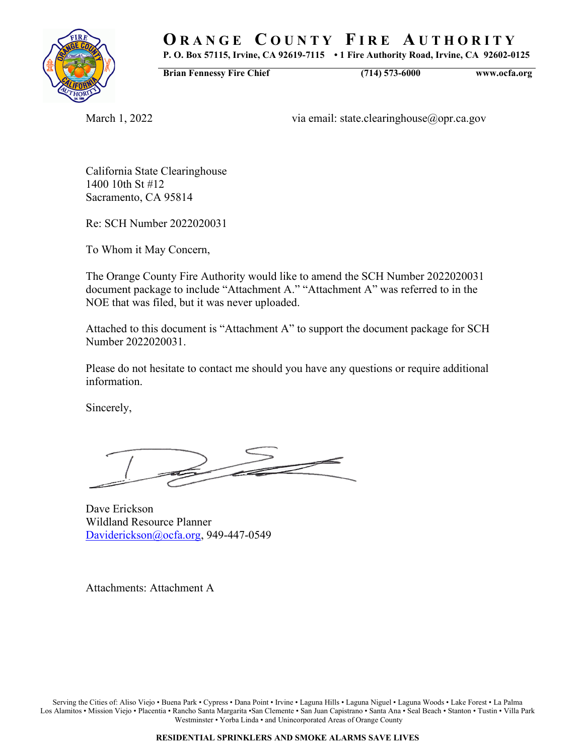# **O R A N G E C O U N T Y F I R E A U T H O R I T Y**

**P. O. Box 57115, Irvine, CA 92619-7115 • 1 Fire Authority Road, Irvine, CA 92602-0125**

**Brian Fennessy Fire Chief (714) 573-6000 www.ocfa.org**

March 1, 2022 via email: state.clearinghouse@opr.ca.gov

California State Clearinghouse 1400 10th St #12 Sacramento, CA 95814

Re: SCH Number 2022020031

To Whom it May Concern,

The Orange County Fire Authority would like to amend the SCH Number 2022020031 document package to include "Attachment A." "Attachment A" was referred to in the NOE that was filed, but it was never uploaded.

Attached to this document is "Attachment A" to support the document package for SCH Number 2022020031.

Please do not hesitate to contact me should you have any questions or require additional information.

Sincerely,

Dave Erickson Wildland Resource Planner [Daviderickson@ocfa.org,](mailto:Daviderickson@ocfa.org) 949-447-0549

Attachments: Attachment A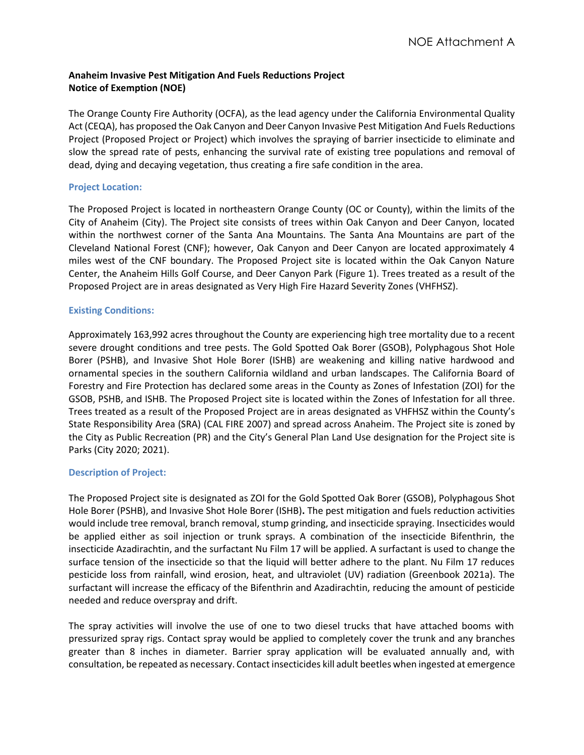# **Anaheim Invasive Pest Mitigation And Fuels Reductions Project Notice of Exemption (NOE)**

The Orange County Fire Authority (OCFA), as the lead agency under the California Environmental Quality Act (CEQA), has proposed the Oak Canyon and Deer Canyon Invasive Pest Mitigation And Fuels Reductions Project (Proposed Project or Project) which involves the spraying of barrier insecticide to eliminate and slow the spread rate of pests, enhancing the survival rate of existing tree populations and removal of dead, dying and decaying vegetation, thus creating a fire safe condition in the area.

# **Project Location:**

The Proposed Project is located in northeastern Orange County (OC or County), within the limits of the City of Anaheim (City). The Project site consists of trees within Oak Canyon and Deer Canyon, located within the northwest corner of the Santa Ana Mountains. The Santa Ana Mountains are part of the Cleveland National Forest (CNF); however, Oak Canyon and Deer Canyon are located approximately 4 miles west of the CNF boundary. The Proposed Project site is located within the Oak Canyon Nature Center, the Anaheim Hills Golf Course, and Deer Canyon Park (Figure 1). Trees treated as a result of the Proposed Project are in areas designated as Very High Fire Hazard Severity Zones (VHFHSZ).

# **Existing Conditions:**

Approximately 163,992 acres throughout the County are experiencing high tree mortality due to a recent severe drought conditions and tree pests. The Gold Spotted Oak Borer (GSOB), Polyphagous Shot Hole Borer (PSHB), and Invasive Shot Hole Borer (ISHB) are weakening and killing native hardwood and ornamental species in the southern California wildland and urban landscapes. The California Board of Forestry and Fire Protection has declared some areas in the County as Zones of Infestation (ZOI) for the GSOB, PSHB, and ISHB. The Proposed Project site is located within the Zones of Infestation for all three. Trees treated as a result of the Proposed Project are in areas designated as VHFHSZ within the County's State Responsibility Area (SRA) (CAL FIRE 2007) and spread across Anaheim. The Project site is zoned by the City as Public Recreation (PR) and the City's General Plan Land Use designation for the Project site is Parks (City 2020; 2021).

# **Description of Project:**

The Proposed Project site is designated as ZOI for the Gold Spotted Oak Borer (GSOB), Polyphagous Shot Hole Borer (PSHB), and Invasive Shot Hole Borer (ISHB)**.** The pest mitigation and fuels reduction activities would include tree removal, branch removal, stump grinding, and insecticide spraying. Insecticides would be applied either as soil injection or trunk sprays. A combination of the insecticide Bifenthrin, the insecticide Azadirachtin, and the surfactant Nu Film 17 will be applied. A surfactant is used to change the surface tension of the insecticide so that the liquid will better adhere to the plant. Nu Film 17 reduces pesticide loss from rainfall, wind erosion, heat, and ultraviolet (UV) radiation (Greenbook 2021a). The surfactant will increase the efficacy of the Bifenthrin and Azadirachtin, reducing the amount of pesticide needed and reduce overspray and drift.

The spray activities will involve the use of one to two diesel trucks that have attached booms with pressurized spray rigs. Contact spray would be applied to completely cover the trunk and any branches greater than 8 inches in diameter. Barrier spray application will be evaluated annually and, with consultation, be repeated as necessary. Contact insecticides kill adult beetles when ingested at emergence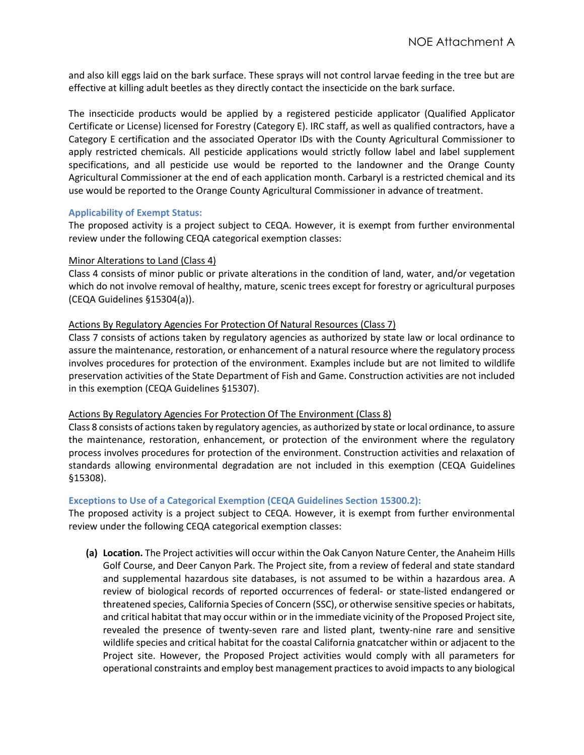and also kill eggs laid on the bark surface. These sprays will not control larvae feeding in the tree but are effective at killing adult beetles as they directly contact the insecticide on the bark surface.

The insecticide products would be applied by a registered pesticide applicator (Qualified Applicator Certificate or License) licensed for Forestry (Category E). IRC staff, as well as qualified contractors, have a Category E certification and the associated Operator IDs with the County Agricultural Commissioner to apply restricted chemicals. All pesticide applications would strictly follow label and label supplement specifications, and all pesticide use would be reported to the landowner and the Orange County Agricultural Commissioner at the end of each application month. Carbaryl is a restricted chemical and its use would be reported to the Orange County Agricultural Commissioner in advance of treatment.

## **Applicability of Exempt Status:**

The proposed activity is a project subject to CEQA. However, it is exempt from further environmental review under the following CEQA categorical exemption classes:

#### Minor Alterations to Land (Class 4)

Class 4 consists of minor public or private alterations in the condition of land, water, and/or vegetation which do not involve removal of healthy, mature, scenic trees except for forestry or agricultural purposes (CEQA Guidelines §15304(a)).

#### Actions By Regulatory Agencies For Protection Of Natural Resources (Class 7)

Class 7 consists of actions taken by regulatory agencies as authorized by state law or local ordinance to assure the maintenance, restoration, or enhancement of a natural resource where the regulatory process involves procedures for protection of the environment. Examples include but are not limited to wildlife preservation activities of the State Department of Fish and Game. Construction activities are not included in this exemption (CEQA Guidelines §15307).

#### Actions By Regulatory Agencies For Protection Of The Environment (Class 8)

Class 8 consists of actions taken by regulatory agencies, as authorized by state or local ordinance, to assure the maintenance, restoration, enhancement, or protection of the environment where the regulatory process involves procedures for protection of the environment. Construction activities and relaxation of standards allowing environmental degradation are not included in this exemption (CEQA Guidelines §15308).

#### **Exceptions to Use of a Categorical Exemption (CEQA Guidelines Section 15300.2):**

The proposed activity is a project subject to CEQA. However, it is exempt from further environmental review under the following CEQA categorical exemption classes:

**(a) Location.** The Project activities will occur within the Oak Canyon Nature Center, the Anaheim Hills Golf Course, and Deer Canyon Park. The Project site, from a review of federal and state standard and supplemental hazardous site databases, is not assumed to be within a hazardous area. A review of biological records of reported occurrences of federal- or state-listed endangered or threatened species, California Species of Concern (SSC), or otherwise sensitive species or habitats, and critical habitat that may occur within or in the immediate vicinity of the Proposed Project site, revealed the presence of twenty-seven rare and listed plant, twenty-nine rare and sensitive wildlife species and critical habitat for the coastal California gnatcatcher within or adjacent to the Project site. However, the Proposed Project activities would comply with all parameters for operational constraints and employ best management practices to avoid impacts to any biological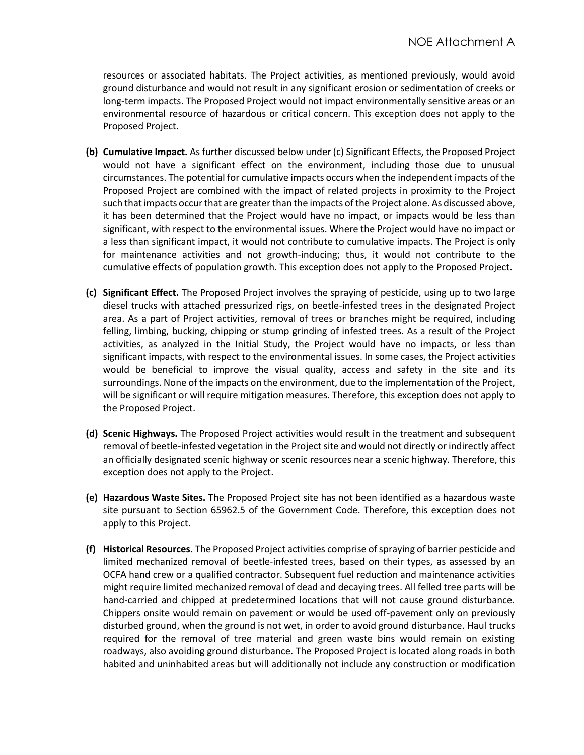resources or associated habitats. The Project activities, as mentioned previously, would avoid ground disturbance and would not result in any significant erosion or sedimentation of creeks or long-term impacts. The Proposed Project would not impact environmentally sensitive areas or an environmental resource of hazardous or critical concern. This exception does not apply to the Proposed Project.

- **(b) Cumulative Impact.** As further discussed below under (c) Significant Effects, the Proposed Project would not have a significant effect on the environment, including those due to unusual circumstances. The potential for cumulative impacts occurs when the independent impacts of the Proposed Project are combined with the impact of related projects in proximity to the Project such that impacts occur that are greater than the impacts of the Project alone. As discussed above, it has been determined that the Project would have no impact, or impacts would be less than significant, with respect to the environmental issues. Where the Project would have no impact or a less than significant impact, it would not contribute to cumulative impacts. The Project is only for maintenance activities and not growth-inducing; thus, it would not contribute to the cumulative effects of population growth. This exception does not apply to the Proposed Project.
- **(c) Significant Effect.** The Proposed Project involves the spraying of pesticide, using up to two large diesel trucks with attached pressurized rigs, on beetle-infested trees in the designated Project area. As a part of Project activities, removal of trees or branches might be required, including felling, limbing, bucking, chipping or stump grinding of infested trees. As a result of the Project activities, as analyzed in the Initial Study, the Project would have no impacts, or less than significant impacts, with respect to the environmental issues. In some cases, the Project activities would be beneficial to improve the visual quality, access and safety in the site and its surroundings. None of the impacts on the environment, due to the implementation of the Project, will be significant or will require mitigation measures. Therefore, this exception does not apply to the Proposed Project.
- **(d) Scenic Highways.** The Proposed Project activities would result in the treatment and subsequent removal of beetle-infested vegetation in the Project site and would not directly or indirectly affect an officially designated scenic highway or scenic resources near a scenic highway. Therefore, this exception does not apply to the Project.
- **(e) Hazardous Waste Sites.** The Proposed Project site has not been identified as a hazardous waste site pursuant to Section 65962.5 of the Government Code. Therefore, this exception does not apply to this Project.
- **(f) Historical Resources.** The Proposed Project activities comprise of spraying of barrier pesticide and limited mechanized removal of beetle-infested trees, based on their types, as assessed by an OCFA hand crew or a qualified contractor. Subsequent fuel reduction and maintenance activities might require limited mechanized removal of dead and decaying trees. All felled tree parts will be hand-carried and chipped at predetermined locations that will not cause ground disturbance. Chippers onsite would remain on pavement or would be used off-pavement only on previously disturbed ground, when the ground is not wet, in order to avoid ground disturbance. Haul trucks required for the removal of tree material and green waste bins would remain on existing roadways, also avoiding ground disturbance. The Proposed Project is located along roads in both habited and uninhabited areas but will additionally not include any construction or modification